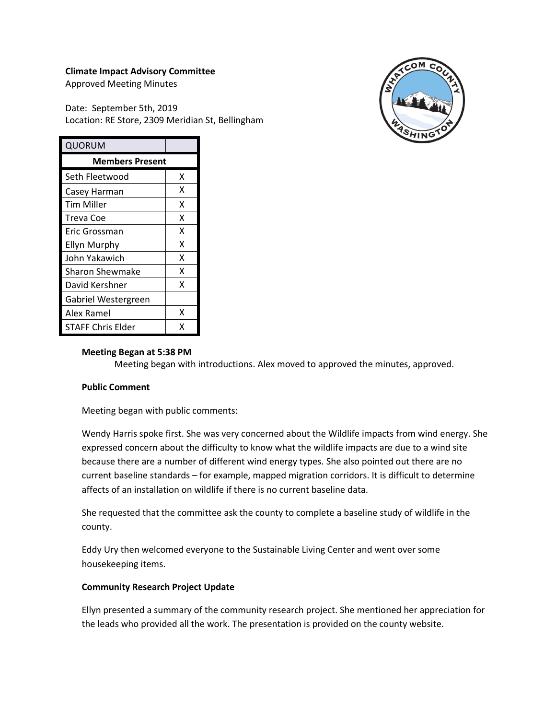#### **Climate Impact Advisory Committee**

Approved Meeting Minutes

Date: September 5th, 2019 Location: RE Store, 2309 Meridian St, Bellingham



| QUORUM                 |   |
|------------------------|---|
| <b>Members Present</b> |   |
| Seth Fleetwood         | x |
| Casey Harman           | x |
| Tim Miller             | x |
| Treva Coe              | x |
| Eric Grossman          | x |
| <b>Ellyn Murphy</b>    | x |
| John Yakawich          | x |
| <b>Sharon Shewmake</b> | x |
| David Kershner         | x |
| Gabriel Westergreen    |   |
| Alex Ramel             | x |
| STAFF Chris Elder      | x |

### **Meeting Began at 5:38 PM**

Meeting began with introductions. Alex moved to approved the minutes, approved.

#### **Public Comment**

Meeting began with public comments:

Wendy Harris spoke first. She was very concerned about the Wildlife impacts from wind energy. She expressed concern about the difficulty to know what the wildlife impacts are due to a wind site because there are a number of different wind energy types. She also pointed out there are no current baseline standards – for example, mapped migration corridors. It is difficult to determine affects of an installation on wildlife if there is no current baseline data.

She requested that the committee ask the county to complete a baseline study of wildlife in the county.

Eddy Ury then welcomed everyone to the Sustainable Living Center and went over some housekeeping items.

### **Community Research Project Update**

Ellyn presented a summary of the community research project. She mentioned her appreciation for the leads who provided all the work. The presentation is provided on the county website.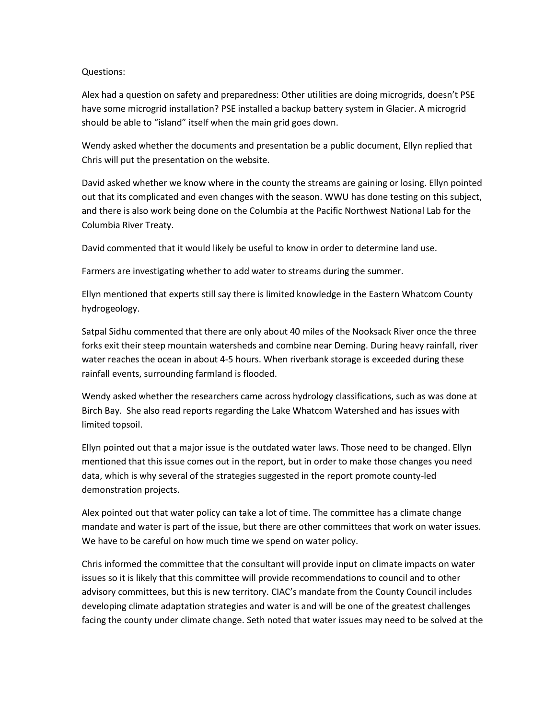### Questions:

Alex had a question on safety and preparedness: Other utilities are doing microgrids, doesn't PSE have some microgrid installation? PSE installed a backup battery system in Glacier. A microgrid should be able to "island" itself when the main grid goes down.

Wendy asked whether the documents and presentation be a public document, Ellyn replied that Chris will put the presentation on the website.

David asked whether we know where in the county the streams are gaining or losing. Ellyn pointed out that its complicated and even changes with the season. WWU has done testing on this subject, and there is also work being done on the Columbia at the Pacific Northwest National Lab for the Columbia River Treaty.

David commented that it would likely be useful to know in order to determine land use.

Farmers are investigating whether to add water to streams during the summer.

Ellyn mentioned that experts still say there is limited knowledge in the Eastern Whatcom County hydrogeology.

Satpal Sidhu commented that there are only about 40 miles of the Nooksack River once the three forks exit their steep mountain watersheds and combine near Deming. During heavy rainfall, river water reaches the ocean in about 4-5 hours. When riverbank storage is exceeded during these rainfall events, surrounding farmland is flooded.

Wendy asked whether the researchers came across hydrology classifications, such as was done at Birch Bay. She also read reports regarding the Lake Whatcom Watershed and has issues with limited topsoil.

Ellyn pointed out that a major issue is the outdated water laws. Those need to be changed. Ellyn mentioned that this issue comes out in the report, but in order to make those changes you need data, which is why several of the strategies suggested in the report promote county-led demonstration projects.

Alex pointed out that water policy can take a lot of time. The committee has a climate change mandate and water is part of the issue, but there are other committees that work on water issues. We have to be careful on how much time we spend on water policy.

Chris informed the committee that the consultant will provide input on climate impacts on water issues so it is likely that this committee will provide recommendations to council and to other advisory committees, but this is new territory. CIAC's mandate from the County Council includes developing climate adaptation strategies and water is and will be one of the greatest challenges facing the county under climate change. Seth noted that water issues may need to be solved at the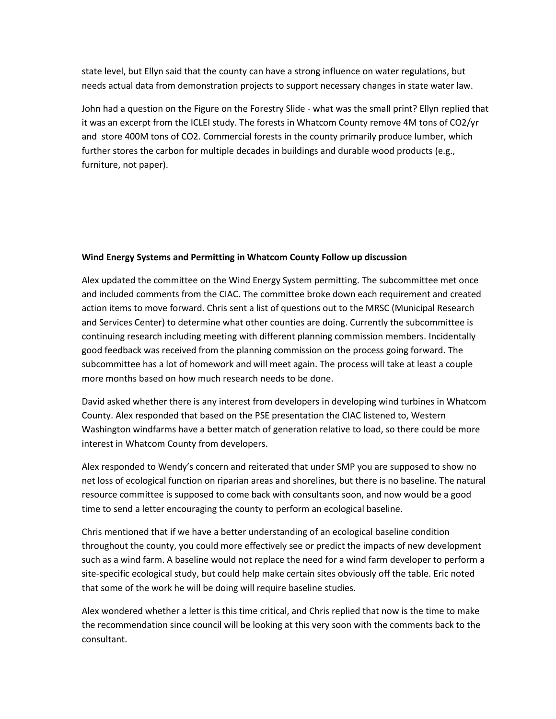state level, but Ellyn said that the county can have a strong influence on water regulations, but needs actual data from demonstration projects to support necessary changes in state water law.

John had a question on the Figure on the Forestry Slide - what was the small print? Ellyn replied that it was an excerpt from the ICLEI study. The forests in Whatcom County remove 4M tons of CO2/yr and store 400M tons of CO2. Commercial forests in the county primarily produce lumber, which further stores the carbon for multiple decades in buildings and durable wood products (e.g., furniture, not paper).

### **Wind Energy Systems and Permitting in Whatcom County Follow up discussion**

Alex updated the committee on the Wind Energy System permitting. The subcommittee met once and included comments from the CIAC. The committee broke down each requirement and created action items to move forward. Chris sent a list of questions out to the MRSC (Municipal Research and Services Center) to determine what other counties are doing. Currently the subcommittee is continuing research including meeting with different planning commission members. Incidentally good feedback was received from the planning commission on the process going forward. The subcommittee has a lot of homework and will meet again. The process will take at least a couple more months based on how much research needs to be done.

David asked whether there is any interest from developers in developing wind turbines in Whatcom County. Alex responded that based on the PSE presentation the CIAC listened to, Western Washington windfarms have a better match of generation relative to load, so there could be more interest in Whatcom County from developers.

Alex responded to Wendy's concern and reiterated that under SMP you are supposed to show no net loss of ecological function on riparian areas and shorelines, but there is no baseline. The natural resource committee is supposed to come back with consultants soon, and now would be a good time to send a letter encouraging the county to perform an ecological baseline.

Chris mentioned that if we have a better understanding of an ecological baseline condition throughout the county, you could more effectively see or predict the impacts of new development such as a wind farm. A baseline would not replace the need for a wind farm developer to perform a site-specific ecological study, but could help make certain sites obviously off the table. Eric noted that some of the work he will be doing will require baseline studies.

Alex wondered whether a letter is this time critical, and Chris replied that now is the time to make the recommendation since council will be looking at this very soon with the comments back to the consultant.